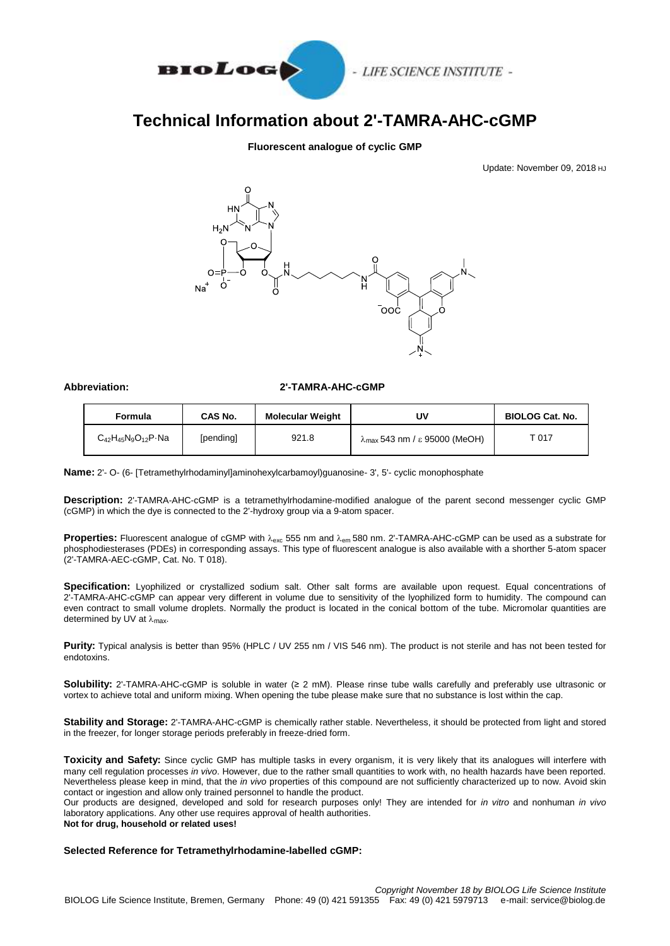

# **Technical Information about 2'-TAMRA-AHC-cGMP**

### **Fluorescent analogue of cyclic GMP**

Update: November 09, 2018 HJ



#### **Abbreviation: 2'-TAMRA-AHC-cGMP**

| Formula                           | CAS No.   | <b>Molecular Weight</b> | U٧                                             | <b>BIOLOG Cat. No.</b> |
|-----------------------------------|-----------|-------------------------|------------------------------------------------|------------------------|
| $C_{42}H_{45}N_9O_{12}P \cdot Na$ | [pending] | 921.8                   | $\lambda_{\text{max}}$ 543 nm / ε 95000 (MeOH) | ⊤ 117                  |

**Name:** 2'- O- (6- [Tetramethylrhodaminyl]aminohexylcarbamoyl)guanosine- 3', 5'- cyclic monophosphate

**Description:** 2'-TAMRA-AHC-cGMP is a tetramethylrhodamine-modified analogue of the parent second messenger cyclic GMP (cGMP) in which the dye is connected to the 2'-hydroxy group via a 9-atom spacer.

Properties: Fluorescent analogue of cGMP with  $\lambda_{\text{exc}}$  555 nm and  $\lambda_{\text{em}}$  580 nm. 2'-TAMRA-AHC-cGMP can be used as a substrate for phosphodiesterases (PDEs) in corresponding assays. This type of fluorescent analogue is also available with a shorther 5-atom spacer (2'-TAMRA-AEC-cGMP, Cat. No. T 018).

**Specification:** Lyophilized or crystallized sodium salt. Other salt forms are available upon request. Equal concentrations of 2'-TAMRA-AHC-cGMP can appear very different in volume due to sensitivity of the lyophilized form to humidity. The compound can even contract to small volume droplets. Normally the product is located in the conical bottom of the tube. Micromolar quantities are determined by UV at  $\lambda_{\text{max}}$ .

**Purity:** Typical analysis is better than 95% (HPLC / UV 255 nm / VIS 546 nm). The product is not sterile and has not been tested for endotoxins.

**Solubility:** 2'-TAMRA-AHC-cGMP is soluble in water (≥ 2 mM). Please rinse tube walls carefully and preferably use ultrasonic or vortex to achieve total and uniform mixing. When opening the tube please make sure that no substance is lost within the cap.

**Stability and Storage:** 2'-TAMRA-AHC-cGMP is chemically rather stable. Nevertheless, it should be protected from light and stored in the freezer, for longer storage periods preferably in freeze-dried form.

**Toxicity and Safety:** Since cyclic GMP has multiple tasks in every organism, it is very likely that its analogues will interfere with many cell regulation processes *in vivo*. However, due to the rather small quantities to work with, no health hazards have been reported. Nevertheless please keep in mind, that the *in vivo* properties of this compound are not sufficiently characterized up to now. Avoid skin contact or ingestion and allow only trained personnel to handle the product.

Our products are designed, developed and sold for research purposes only! They are intended for *in vitro* and nonhuman *in vivo* laboratory applications. Any other use requires approval of health authorities.

**Not for drug, household or related uses!**

#### **Selected Reference for Tetramethylrhodamine-labelled cGMP:**